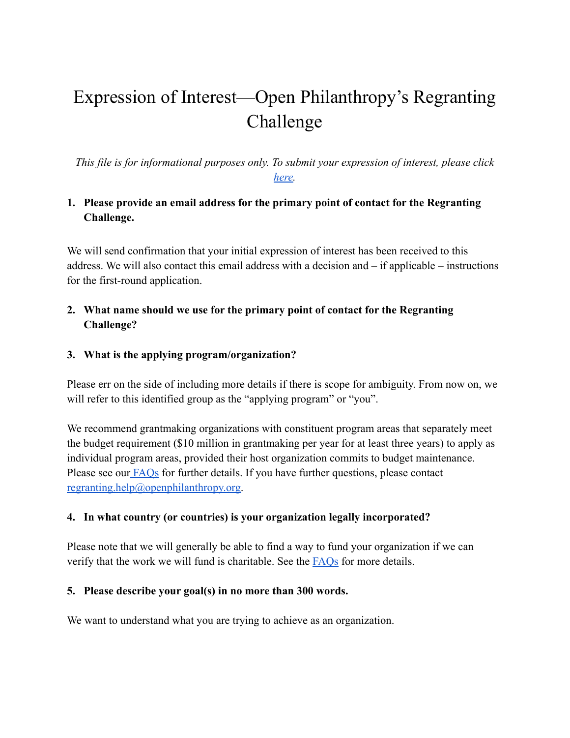# Expression of Interest—Open Philanthropy's Regranting Challenge

*This file is for informational purposes only. To submit your expression of interest, please click [here.](https://form.jotform.com/chrissmith716/open-philanthropy-regranting-challe)*

## **1. Please provide an email address for the primary point of contact for the Regranting Challenge.**

We will send confirmation that your initial expression of interest has been received to this address. We will also contact this email address with a decision and – if applicable – instructions for the first-round application.

## **2. What name should we use for the primary point of contact for the Regranting Challenge?**

#### **3. What is the applying program/organization?**

Please err on the side of including more details if there is scope for ambiguity. From now on, we will refer to this identified group as the "applying program" or "you".

We recommend grantmaking organizations with constituent program areas that separately meet the budget requirement (\$10 million in grantmaking per year for at least three years) to apply as individual program areas, provided their host organization commits to budget maintenance. Please see our [FAQs](https://www.openphilanthropy.org/focus/open-philanthropy-regranting-challenge#program-or-program-area) for further details. If you have further questions, please contact [regranting.help@openphilanthropy.org.](mailto:regranting.help@openphilanthropy.org)

## **4. In what country (or countries) is your organization legally incorporated?**

Please note that we will generally be able to find a way to fund your organization if we can verify that the work we will fund is charitable. See the **[FAQs](https://www.openphilanthropy.org/focus/open-philanthropy-regranting-challenge#eligible-non-501c3)** for more details.

#### **5. Please describe your goal(s) in no more than 300 words.**

We want to understand what you are trying to achieve as an organization.